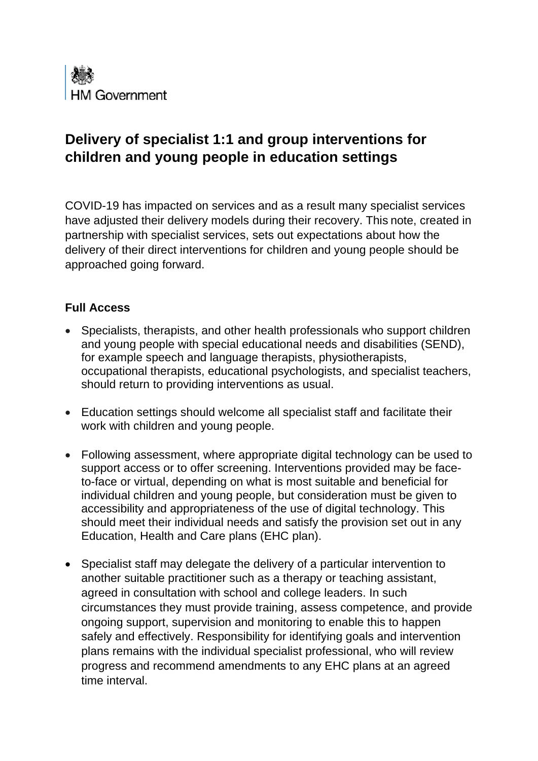

## **Delivery of specialist 1:1 and group interventions for children and young people in education settings**

COVID-19 has impacted on services and as a result many specialist services have adjusted their delivery models during their recovery. This note, created in partnership with specialist services, sets out expectations about how the delivery of their direct interventions for children and young people should be approached going forward.

## **Full Access**

- Specialists, therapists, and other health professionals who support children and young people with special educational needs and disabilities (SEND), for example speech and language therapists, physiotherapists, occupational therapists, educational psychologists, and specialist teachers, should return to providing interventions as usual.
- Education settings should welcome all specialist staff and facilitate their work with children and young people.
- Following assessment, where appropriate digital technology can be used to support access or to offer screening. Interventions provided may be faceto-face or virtual, depending on what is most suitable and beneficial for individual children and young people, but consideration must be given to accessibility and appropriateness of the use of digital technology. This should meet their individual needs and satisfy the provision set out in any Education, Health and Care plans (EHC plan).
- Specialist staff may delegate the delivery of a particular intervention to another suitable practitioner such as a therapy or teaching assistant, agreed in consultation with school and college leaders. In such circumstances they must provide training, assess competence, and provide ongoing support, supervision and monitoring to enable this to happen safely and effectively. Responsibility for identifying goals and intervention plans remains with the individual specialist professional, who will review progress and recommend amendments to any EHC plans at an agreed time interval.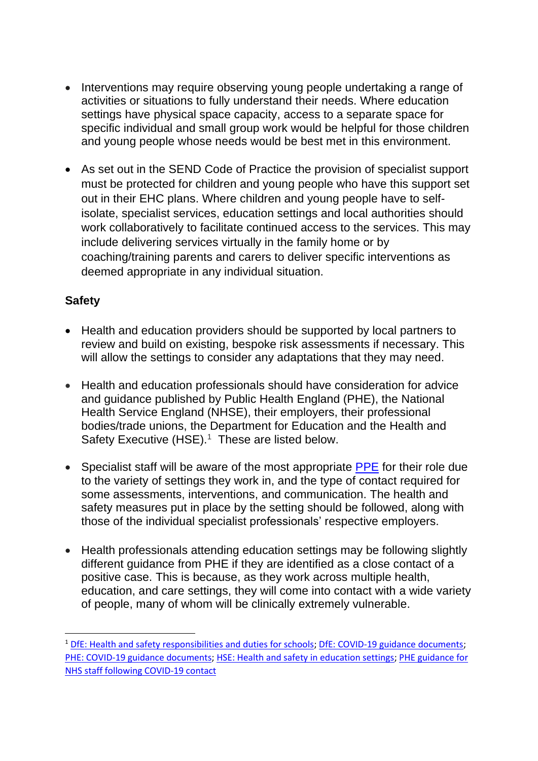- Interventions may require observing young people undertaking a range of activities or situations to fully understand their needs. Where education settings have physical space capacity, access to a separate space for specific individual and small group work would be helpful for those children and young people whose needs would be best met in this environment.
- As set out in the SEND Code of Practice the provision of specialist support must be protected for children and young people who have this support set out in their EHC plans. Where children and young people have to selfisolate, specialist services, education settings and local authorities should work collaboratively to facilitate continued access to the services. This may include delivering services virtually in the family home or by coaching/training parents and carers to deliver specific interventions as deemed appropriate in any individual situation.

## **Safety**

- Health and education providers should be supported by local partners to review and build on existing, bespoke risk assessments if necessary. This will allow the settings to consider any adaptations that they may need.
- Health and education professionals should have consideration for advice and guidance published by Public Health England (PHE), the National Health Service England (NHSE), their employers, their professional bodies/trade unions, the Department for Education and the Health and Safety Executive (HSE).<sup>1</sup> These are listed below.
- Specialist staff will be aware of the most appropriate [PPE](https://www.gov.uk/government/publications/safe-working-in-education-childcare-and-childrens-social-care/the-use-of-personal-protective-equipment-ppe-in-education-childcare-and-childrens-social-care-settings-including-for-aerosol-generating-procedure) for their role due to the variety of settings they work in, and the type of contact required for some assessments, interventions, and communication. The health and safety measures put in place by the setting should be followed, along with those of the individual specialist professionals' respective employers.
- Health professionals attending education settings may be following slightly different guidance from PHE if they are identified as a close contact of a positive case. This is because, as they work across multiple health, education, and care settings, they will come into contact with a wide variety of people, many of whom will be clinically extremely vulnerable.

<sup>&</sup>lt;sup>1</sup> [DfE: Health and safety responsibilities and duties for schools;](https://www.gov.uk/government/publications/health-and-safety-advice-for-schools/responsibilities-and-duties-for-schools) [DfE: COVID-19 guidance documents;](https://www.gov.uk/coronavirus/education-and-childcare) [PHE: COVID-19 guidance documents;](https://www.gov.uk/government/collections/coronavirus-covid-19-list-of-guidance) [HSE: Health and safety in education settings;](https://www.hse.gov.uk/services/education/index.htm) [PHE guidance for](https://www.england.nhs.uk/coronavirus/publication/updated-phe-guidance-on-nhs-staff-and-student-self-isolation-and-return-to-work-following-covid-19-contact/)  [NHS staff following COVID-19 contact](https://www.england.nhs.uk/coronavirus/publication/updated-phe-guidance-on-nhs-staff-and-student-self-isolation-and-return-to-work-following-covid-19-contact/)